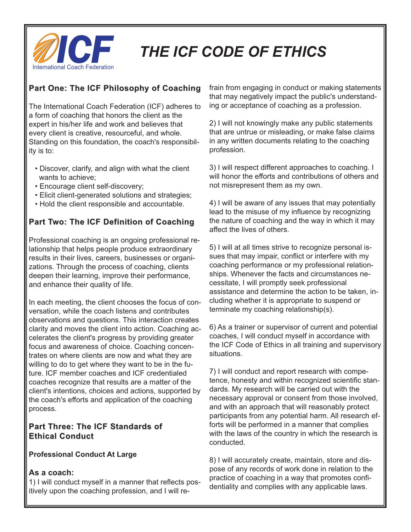

# *THE ICF CODE OF ETHICS*

# **Part One: The ICF Philosophy of Coaching**

The International Coach Federation (ICF) adheres to a form of coaching that honors the client as the expert in his/her life and work and believes that every client is creative, resourceful, and whole. Standing on this foundation, the coach's responsibility is to:

- Discover, clarify, and align with what the client wants to achieve;
- Encourage client self-discovery;
- Elicit client-generated solutions and strategies;
- Hold the client responsible and accountable.

## **Part Two: The ICF Definition of Coaching**

Professional coaching is an ongoing professional relationship that helps people produce extraordinary results in their lives, careers, businesses or organizations. Through the process of coaching, clients deepen their learning, improve their performance, and enhance their quality of life.

In each meeting, the client chooses the focus of conversation, while the coach listens and contributes observations and questions. This interaction creates clarity and moves the client into action. Coaching accelerates the client's progress by providing greater focus and awareness of choice. Coaching concentrates on where clients are now and what they are willing to do to get where they want to be in the future. ICF member coaches and ICF credentialed coaches recognize that results are a matter of the client's intentions, choices and actions, supported by the coach's efforts and application of the coaching process.

## **Part Three: The ICF Standards of Ethical Conduct**

#### **Professional Conduct At Large**

#### **As a coach:**

1) I will conduct myself in a manner that reflects positively upon the coaching profession, and I will refrain from engaging in conduct or making statements that may negatively impact the public's understanding or acceptance of coaching as a profession.

2) I will not knowingly make any public statements that are untrue or misleading, or make false claims in any written documents relating to the coaching profession.

3) I will respect different approaches to coaching. I will honor the efforts and contributions of others and not misrepresent them as my own.

4) I will be aware of any issues that may potentially lead to the misuse of my influence by recognizing the nature of coaching and the way in which it may affect the lives of others.

5) I will at all times strive to recognize personal issues that may impair, conflict or interfere with my coaching performance or my professional relationships. Whenever the facts and circumstances necessitate, I will promptly seek professional assistance and determine the action to be taken, including whether it is appropriate to suspend or terminate my coaching relationship(s).

6) As a trainer or supervisor of current and potential coaches, I will conduct myself in accordance with the ICF Code of Ethics in all training and supervisory situations.

7) I will conduct and report research with competence, honesty and within recognized scientific standards. My research will be carried out with the necessary approval or consent from those involved, and with an approach that will reasonably protect participants from any potential harm. All research efforts will be performed in a manner that complies with the laws of the country in which the research is conducted.

8) I will accurately create, maintain, store and dispose of any records of work done in relation to the practice of coaching in a way that promotes confidentiality and complies with any applicable laws.